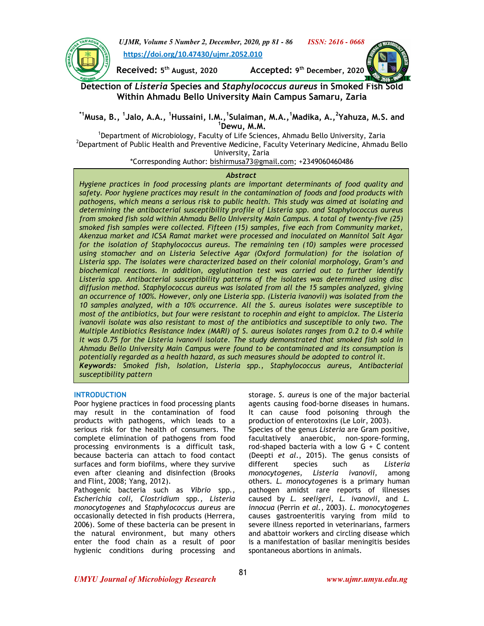



 $\overline{\phantom{a}}$ 

**Received: 5 th August, 2020 Accepted: 9**

Accepted: 9<sup>th</sup> December, 2020



# **Detection of** *Listeria* **Species and** *Staphylococcus aureus* **in Smoked Fish Sold Within Ahmadu Bello University Main Campus Samaru, Zaria**

# **\*1Musa, B., <sup>1</sup> Jalo, A.A., <sup>1</sup>Hussaini, I.M.,<sup>1</sup> Sulaiman, M.A.,<sup>1</sup>Madika, A.,<sup>2</sup> Yahuza, M.S. and <sup>1</sup>Dewu, M.M.**

<sup>1</sup>Department of Microbiology, Faculty of Life Sciences, Ahmadu Bello University, Zaria  $^2$ Department of Public Health and Preventive Medicine, Faculty Veterinary Medicine, Ahmadu Bello University, Zaria

\*Corresponding Author: bishirmusa73@gmail.com; +2349060460486

# *Abstract*

*Hygiene practices in food processing plants are important determinants of food quality and safety. Poor hygiene practices may result in the contamination of foods and food products with pathogens, which means a serious risk to public health. This study was aimed at isolating and determining the antibacterial susceptibility profile of Listeria spp. and Staphylococcus aureus from smoked fish sold within Ahmadu Bello University Main Campus. A total of twenty-five (25) smoked fish samples were collected. Fifteen (15) samples, five each from Community market, Akenzua market and ICSA Ramat market were processed and inoculated on Mannitol Salt Agar for the isolation of Staphylococcus aureus. The remaining ten (10) samples were processed using stomacher and on Listeria Selective Agar (Oxford formulation) for the isolation of Listeria spp. The isolates were characterized based on their colonial morphology, Gram's and biochemical reactions. In addition, agglutination test was carried out to further identify Listeria spp. Antibacterial susceptibility patterns of the isolates was determined using disc diffusion method. Staphylococcus aureus was isolated from all the 15 samples analyzed, giving an occurrence of 100%. However, only one Listeria spp. (Listeria ivanovii) was isolated from the 10 samples analyzed, with a 10% occurrence. All the S. aureus isolates were susceptible to most of the antibiotics, but four were resistant to rocephin and eight to ampiclox. The Listeria ivanovii isolate was also resistant to most of the antibiotics and susceptible to only two. The Multiple Antibiotics Resistance Index (MARI) of S. aureus isolates ranges from 0.2 to 0.4 while it was 0.75 for the Listeria ivanovii isolate. The study demonstrated that smoked fish sold in Ahmadu Bello University Main Campus were found to be contaminated and its consumption is potentially regarded as a health hazard, as such measures should be adopted to control it. Keywords: Smoked fish, Isolation, Listeria spp., Staphylococcus aureus, Antibacterial susceptibility pattern* 

# **INTRODUCTION**

Poor hygiene practices in food processing plants may result in the contamination of food products with pathogens, which leads to a serious risk for the health of consumers. The complete elimination of pathogens from food processing environments is a difficult task, because bacteria can attach to food contact surfaces and form biofilms, where they survive even after cleaning and disinfection (Brooks and Flint, 2008; Yang, 2012).

Pathogenic bacteria such as *Vibrio* spp*., Escherichia coli, Clostridium* spp*., Listeria monocytogenes* and *Staphylococcus aureus* are occasionally detected in fish products (Herrera, 2006). Some of these bacteria can be present in the natural environment, but many others enter the food chain as a result of poor hygienic conditions during processing and

storage. *S. aureus* is one of the major bacterial agents causing food-borne diseases in humans. It can cause food poisoning through the production of enterotoxins (Le Loir, 2003).

Species of the genus *Listeria* are Gram positive, facultatively anaerobic, non-spore-forming, rod-shaped bacteria with a low  $G + C$  content (Deepti *et al*., 2015). The genus consists of different species such as *Listeria monocytogenes, Listeria ivanovii,* among others. *L. monocytogenes* is a primary human pathogen amidst rare reports of illnesses caused by *L. seeligeri, L. ivanovii*, and *L. innocua* (Perrin *et al.,* 2003). *L. monocytogenes* causes gastroenteritis varying from mild to severe illness reported in veterinarians, farmers and abattoir workers and circling disease which is a manifestation of basilar meningitis besides spontaneous abortions in animals.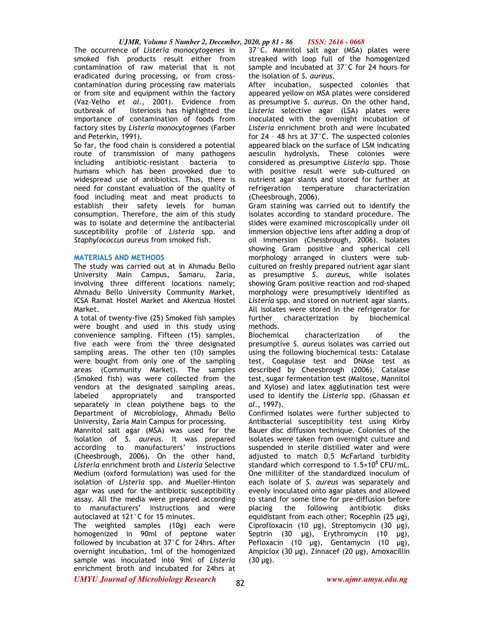# *UJMR, Volume 5 Number 2, December, 2020, pp 81 - 86 ISSN: 2616 - 0668*

The occurrence of *Listeria monocytogenes* in smoked fish products result either from contamination of raw material that is not eradicated during processing, or from crosscontamination during processing raw materials or from site and equipment within the factory (Vaz-Velho *et al*., 2001). Evidence from outbreak of listeriosis has highlighted the importance of contamination of foods from factory sites by *Listeria monocytogenes* (Farber and Peterkin, 1991).

So far, the food chain is considered a potential route of transmission of many pathogens including antibiotic-resistant bacteria to humans which has been provoked due to widespread use of antibiotics. Thus, there is need for constant evaluation of the quality of food including meat and meat products to establish their safety levels for human consumption. Therefore, the aim of this study was to isolate and determine the antibacterial susceptibility profile of *Listeria* spp. and *Staphylococcus aureus* from smoked fish.

## **MATERIALS AND METHODS**

The study was carried out at in Ahmadu Bello University Main Campus, Samaru, Zaria, involving three different locations namely; Ahmadu Bello University Community Market, ICSA Ramat Hostel Market and Akenzua Hostel Market.

A total of twenty-five (25) Smoked fish samples were bought and used in this study using convenience sampling. Fifteen (15) samples, five each were from the three designated sampling areas. The other ten (10) samples were bought from only one of the sampling areas (Community Market). The samples (Smoked fish) was were collected from the vendors at the designated sampling areas, labeled appropriately and transported separately in clean polythene bags to the Department of Microbiology, Ahmadu Bello University, Zaria Main Campus for processing.

Mannitol salt agar (MSA) was used for the isolation of *S. aureus*. It was prepared according to manufacturers' instructions (Cheesbrough, 2006). On the other hand, *Listeria* enrichment broth and *Listeria* Selective Medium (oxford formulation) was used for the isolation of *Listeria* spp*.* and Mueller-Hinton agar was used for the antibiotic susceptibility assay. All the media were prepared according to manufacturers' instructions and were autoclaved at 121°C for 15 minutes.

The weighted samples (10g) each were homogenized in 90ml of peptone water followed by incubation at 37°C for 24hrs. After overnight incubation, 1ml of the homogenized sample was inoculated into 9ml of *Listeria*  enrichment broth and incubated for 24hrs at 37°C. Mannitol salt agar (MSA) plates were streaked with loop full of the homogenized sample and incubated at 37°C for 24 hours for the isolation of *S. aureus*.

After incubation, suspected colonies that appeared yellow on MSA plates were considered as presumptive *S. aureus*. On the other hand, *Listeria* selective agar (LSA) plates were inoculated with the overnight incubation of *Listeria* enrichment broth and were incubated for 24 – 48 hrs at 37°C. The suspected colonies appeared black on the surface of LSM indicating aesculin hydrolysis. These colonies were considered as presumptive *Listeria* spp. Those with positive result were sub-cultured on nutrient agar slants and stored for further at refrigeration temperature characterization (Cheesbrough, 2006).

Gram staining was carried out to identify the isolates according to standard procedure. The slides were examined microscopically under oil immersion objective lens after adding a drop of oil immersion (Chessbrough, 2006). Isolates showing Gram positive and spherical cell morphology arranged in clusters were subcultured on freshly prepared nutrient agar slant as presumptive *S. aureus*, while isolates showing Gram positive reaction and rod-shaped morphology were presumptively identified as *Listeria* spp. and stored on nutrient agar slants. All isolates were stored in the refrigerator for further characterization by biochemical methods.

Biochemical characterization of the presumptive *S. aureus* isolates was carried out using the following biochemical tests: Catalase test, Coagulase test and DNAse test as described by Cheesbrough (2006). Catalase test, sugar fermentation test (Maltose, Mannitol and Xylose) and latex agglutination test were used to identify the *Listeria* spp. (Ghassan *et al*., 1997).

Confirmed isolates were further subjected to Antibacterial susceptibility test using Kirby Bauer disc diffusion technique. Colonies of the isolates were taken from overnight culture and suspended in sterile distilled water and were adjusted to match 0.5 McFarland turbidity standard which correspond to  $1.5 \times 10^8$  CFU/mL. One milliliter of the standardized inoculum of each isolate of *S. aureus* was separately and evenly inoculated onto agar plates and allowed to stand for some time for pre-diffusion before placing the following antibiotic disks equidistant from each other; Rocephin (25 µg), Ciprofloxacin (10 µg), Streptomycin (30 µg), Septrin (30 µg), Erythromycin (10 µg), Pefloxacin (10  $\mu$ g), Gentamycin (10  $\mu$ g), Ampiclox (30 µg), Zinnacef (20 µg), Amoxacillin  $(30 \mu g)$ .

*UMYU Journal of Microbiology Research www.ujmr.umyu.edu.ng*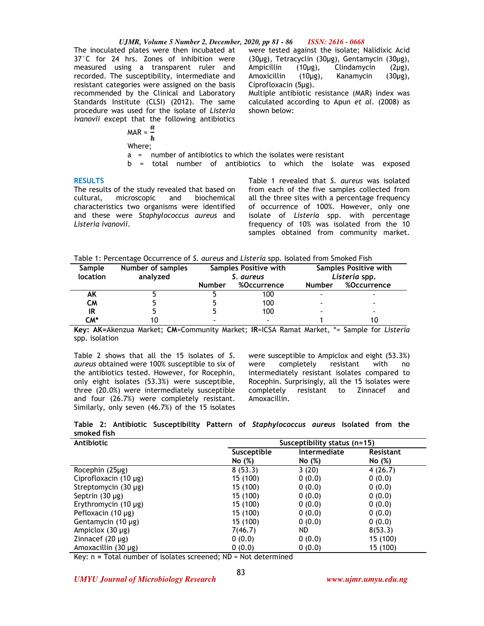#### *UJMR, Volume 5 Number 2, December, 2020, pp 81 - 86 ISSN: 2616 - 0668*

The inoculated plates were then incubated at 37°C for 24 hrs. Zones of inhibition were measured using a transparent ruler and recorded. The susceptibility, intermediate and resistant categories were assigned on the basis recommended by the Clinical and Laboratory Standards Institute (CLSI) (2012). The same procedure was used for the isolate of *Listeria ivanovii* except that the following antibiotics

were tested against the isolate; Nalidixic Acid (30µg), Tetracyclin (30µg), Gentamycin (30µg), Ampicillin (10µg), Clindamycin (2µg), Amoxicillin (10µg), Kanamycin (30µg), Ciprofloxacin (5µg).

Multiple antibiotic resistance (MAR) index was calculated according to Apun *et al*. (2008) as shown below:

 $MAR = \frac{a}{b}$ Where;

a = number of antibiotics to which the isolates were resistant

b = total number of antibiotics to which the isolate was exposed

### **RESULTS**

The results of the study revealed that based on cultural, microscopic and biochemical characteristics two organisms were identified and these were *Staphylococcus aureus* and *Listeria ivanovii*.

Table 1 revealed that *S*. *aureus* was isolated from each of the five samples collected from all the three sites with a percentage frequency of occurrence of 100%. However, only one isolate of *Listeria* spp. with percentage frequency of 10% was isolated from the 10 samples obtained from community market.

Table 1: Percentage Occurrence of *S. aureus* and *Listeria* spp*.* Isolated from Smoked Fish

| <b>Sample</b><br>location | Number of samples<br>analyzed | Samples Positive with<br>S. aureus |                          | Samples Positive with<br>Listeria spp. |             |
|---------------------------|-------------------------------|------------------------------------|--------------------------|----------------------------------------|-------------|
|                           |                               | <b>Number</b>                      | %Occurrence              | <b>Number</b>                          | %Occurrence |
| ΑK                        |                               |                                    | 100                      |                                        |             |
| СM                        |                               |                                    | 100                      |                                        |             |
| IR                        |                               |                                    | 100                      |                                        |             |
| CM*                       |                               |                                    | $\overline{\phantom{0}}$ |                                        |             |

**Key: AK=**Akenzua Market; **CM**=Community Market; **IR**=ICSA Ramat Market, \*= Sample for *Listeria* spp. isolation

Table 2 shows that all the 15 isolates of *S*. *aureus* obtained were 100% susceptible to six of the antibiotics tested. However, for Rocephin, only eight isolates (53.3%) were susceptible, three (20.0%) were intermediately susceptible and four (26.7%) were completely resistant. Similarly, only seven (46.7%) of the 15 isolates were susceptible to Ampiclox and eight (53.3%) were completely resistant with no intermediately resistant isolates compared to Rocephin. Surprisingly, all the 15 isolates were completely resistant to Zinnacef and Amoxacillin.

|             |  |  | Table 2: Antibiotic Susceptibility Pattern of Staphylococcus aureus Isolated from the |  |  |
|-------------|--|--|---------------------------------------------------------------------------------------|--|--|
| smoked fish |  |  |                                                                                       |  |  |

| <b>Antibiotic</b>         | Susceptibility status (n=15) |              |                  |  |
|---------------------------|------------------------------|--------------|------------------|--|
|                           | Susceptible                  | Intermediate | <b>Resistant</b> |  |
|                           | No (%)                       | No (%)       | No (%)           |  |
| Rocephin (25µg)           | 8(53.3)                      | 3(20)        | 4(26.7)          |  |
| Ciprofloxacin (10 µg)     | 15 (100)                     | 0(0.0)       | 0(0.0)           |  |
| Streptomycin (30 µg)      | 15 (100)                     | 0(0.0)       | 0(0.0)           |  |
| Septrin $(30 \mu g)$      | 15 (100)                     | 0(0.0)       | 0(0.0)           |  |
| Erythromycin $(10 \mu g)$ | 15 (100)                     | 0(0.0)       | 0(0.0)           |  |
| Pefloxacin (10 µg)        | 15 (100)                     | 0(0.0)       | 0(0.0)           |  |
| Gentamycin $(10 \mu g)$   | 15 (100)                     | 0(0.0)       | 0(0.0)           |  |
| Ampiclox (30 µg)          | 7(46.7)                      | ND.          | 8(53.3)          |  |
| Zinnacef $(20 \mu g)$     | 0(0.0)                       | 0(0.0)       | 15 (100)         |  |
| Amoxacillin (30 µg)       | 0(0.0)                       | 0(0.0)       | 15 (100)         |  |

Key: n **=** Total number of isolates screened; ND = Not determined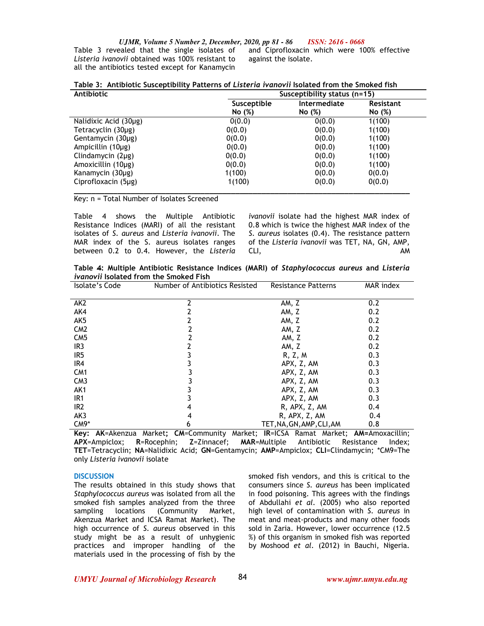*UJMR, Volume 5 Number 2, December, 2020, pp 81 - 86 ISSN: 2616 - 0668*

Table 3 revealed that the single isolates of *Listeria ivanovii* obtained was 100% resistant to all the antibiotics tested except for Kanamycin

and Ciprofloxacin which were 100% effective against the isolate.

| Antibiotic             |             | Susceptibility status (n=15) |           |  |  |
|------------------------|-------------|------------------------------|-----------|--|--|
|                        | Susceptible | Intermediate                 | Resistant |  |  |
|                        | No (%)      | No(%)                        | No (%)    |  |  |
| Nalidixic Acid (30µg)  | 0(0.0)      | 0(0.0)                       | 1(100)    |  |  |
| Tetracyclin (30µg)     | 0(0.0)      | 0(0.0)                       | 1(100)    |  |  |
| Gentamycin $(30\mu g)$ | 0(0.0)      | 0(0.0)                       | 1(100)    |  |  |
| Ampicillin (10µg)      | 0(0.0)      | 0(0.0)                       | 1(100)    |  |  |
| Clindamycin $(2\mu g)$ | 0(0.0)      | 0(0.0)                       | 1(100)    |  |  |
| Amoxicillin (10µg)     | 0(0.0)      | 0(0.0)                       | 1(100)    |  |  |
| Kanamycin (30µg)       | 1(100)      | 0(0.0)                       | 0(0.0)    |  |  |
| Ciprofloxacin (5µg)    | 1(100)      | 0(0.0)                       | 0(0.0)    |  |  |
|                        |             |                              |           |  |  |

Key: n = Total Number of Isolates Screened

Table 4 shows the Multiple Antibiotic Resistance Indices (MARI) of all the resistant isolates of *S*. *aureus* and *Listeria ivanovii*. The MAR index of the S. aureus isolates ranges between 0.2 to 0.4. However, the *Listeria*  *ivanovii* isolate had the highest MAR index of 0.8 which is twice the highest MAR index of the *S. aureus* isolates (0.4). The resistance pattern of the *Listeria ivanovii* was TET, NA, GN, AMP, CLI, AM

**Table 4: Multiple Antibiotic Resistance Indices (MARI) of** *Staphylococcus aureus* **and** *Listeria ivanovii* **Isolated from the Smoked Fish** 

| Isolate's Code  | Number of Antibiotics Resisted | <b>Resistance Patterns</b> | MAR index |
|-----------------|--------------------------------|----------------------------|-----------|
|                 |                                |                            |           |
| AK <sub>2</sub> | 2                              | AM, Z                      | 0.2       |
| AK4             |                                | AM, Z                      | 0.2       |
| AK5             |                                | AM, Z                      | 0.2       |
| CM <sub>2</sub> |                                | AM, Z                      | 0.2       |
| CM <sub>5</sub> |                                | AM, Z                      | 0.2       |
| IR <sub>3</sub> |                                | AM, Z                      | 0.2       |
| IR5             |                                | R, Z, M                    | 0.3       |
| IR <sub>4</sub> |                                | APX, Z, AM                 | 0.3       |
| CM <sub>1</sub> |                                | APX, Z, AM                 | 0.3       |
| CM <sub>3</sub> |                                | APX, Z, AM                 | 0.3       |
| AK <sub>1</sub> |                                | APX, Z, AM                 | 0.3       |
| IR <sub>1</sub> |                                | APX, Z, AM                 | 0.3       |
| IR <sub>2</sub> | 4                              | R, APX, Z, AM              | 0.4       |
| AK3             | 4                              | R, APX, Z, AM              | 0.4       |
| $CM9*$          | 6                              | TET, NA, GN, AMP, CLI, AM  | 0.8       |

**Key: AK**=Akenzua Market**; CM**=Community Market; **IR**=ICSA Ramat Market; **AM=**Amoxacillin; **APX**=Ampiclox; **R**=Rocephin; **Z**=Zinnacef; **MAR**=Multiple Antibiotic Resistance Index; **TET**=Tetracyclin; **NA**=Nalidixic Acid; **GN**=Gentamycin; **AMP**=Ampiclox; **CLI**=Clindamycin; \*CM9=The only *Listeria ivanovii* isolate

#### **DISCUSSION**

The results obtained in this study shows that *Staphylococcus aureus* was isolated from all the smoked fish samples analyzed from the three sampling locations (Community Market, Akenzua Market and ICSA Ramat Market). The high occurrence of *S. aureus* observed in this study might be as a result of unhygienic practices and improper handling of the materials used in the processing of fish by the

smoked fish vendors, and this is critical to the consumers since *S. aureus* has been implicated in food poisoning. This agrees with the findings of Abdullahi *et al.* (2005) who also reported high level of contamination with *S. aureus* in meat and meat-products and many other foods sold in Zaria. However, lower occurrence (12.5 %) of this organism in smoked fish was reported by Moshood *et al.* (2012) in Bauchi, Nigeria.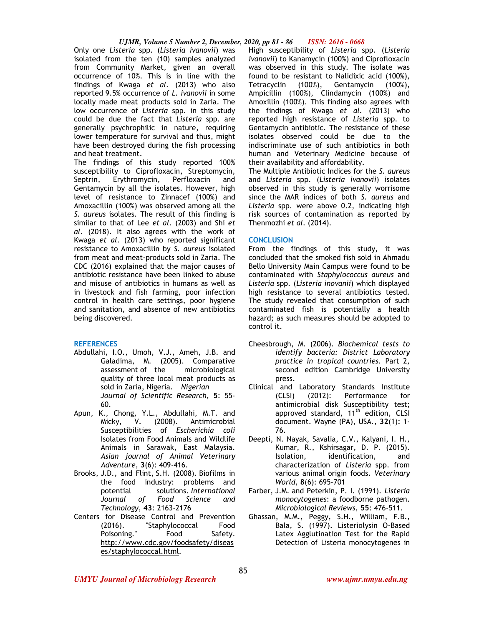Only one *Listeria* spp. (*Listeria ivanovii*) was isolated from the ten (10) samples analyzed from Community Market, given an overall occurrence of 10%. This is in line with the findings of Kwaga *et al.* (2013) who also reported 9.5% occurrence of *L. ivanovii* in some locally made meat products sold in Zaria. The low occurrence of *Listeria* spp. in this study could be due the fact that *Listeria* spp. are generally psychrophilic in nature, requiring lower temperature for survival and thus, might have been destroyed during the fish processing and heat treatment.

The findings of this study reported 100% susceptibility to Ciprofloxacin, Streptomycin, Septrin, Erythromycin, Perfloxacin and Gentamycin by all the isolates. However, high level of resistance to Zinnacef (100%) and Amoxacillin (100%) was observed among all the *S. aureus* isolates. The result of this finding is similar to that of Lee *et al*. (2003) and Shi *et al*. (2018). It also agrees with the work of Kwaga *et al.* (2013) who reported significant resistance to Amoxacillin by *S. aureus* isolated from meat and meat-products sold in Zaria. The CDC (2016) explained that the major causes of antibiotic resistance have been linked to abuse and misuse of antibiotics in humans as well as in livestock and fish farming, poor infection control in health care settings, poor hygiene and sanitation, and absence of new antibiotics being discovered.

## **REFERENCES**

- Abdullahi, I.O., Umoh, V.J., Ameh, J.B. and Galadima, M. (2005). Comparative assessment of the microbiological quality of three local meat products as sold in Zaria, Nigeria. *Nigerian Journal of Scientific Research,* **5**: 55- 60.
- Apun, K., Chong, Y.L., Abdullahi, M.T. and<br>Micky, V. (2008). Antimicrobial Micky, V. (2008). Antimicrobial Susceptibilities of *Escherichia coli*  Isolates from Food Animals and Wildlife Animals in Sarawak, East Malaysia. *Asian journal of Animal Veterinary Adventure,* **3**(6): 409-416.
- Brooks, J.D., and Flint, S.H. (2008)*.* Biofilms in the food industry: problems and potential solutions. *International Journal of Food Science and Technology*, **43**: 2163-2176
- Centers for Disease Control and Prevention (2016). "Staphylococcal Food Poisoning." Food Safety. http://www.cdc.gov/foodsafety/diseas es/staphylococcal.html.

High susceptibility of *Listeria* spp. (*Listeria ivanovii*) to Kanamycin (100%) and Ciprofloxacin was observed in this study. The isolate was found to be resistant to Nalidixic acid (100%), Tetracyclin (100%), Gentamycin (100%), Ampicillin (100%), Clindamycin (100%) and Amoxillin (100%). This finding also agrees with the findings of Kwaga *et al.* (2013) who reported high resistance of *Listeria* spp. to Gentamycin antibiotic. The resistance of these isolates observed could be due to the indiscriminate use of such antibiotics in both human and Veterinary Medicine because of their availability and affordability.

The Multiple Antibiotic Indices for the *S. aureus* and *Listeria* spp. (*Listeria ivanovii*) isolates observed in this study is generally worrisome since the MAR indices of both *S. aureus* and *Listeria* spp. were above 0.2, indicating high risk sources of contamination as reported by Thenmozhi *et al*. (2014).

### **CONCLUSION**

From the findings of this study, it was concluded that the smoked fish sold in Ahmadu Bello University Main Campus were found to be contaminated with *Staphylococcus aureus* and *Listeria* spp. (*Listeria inovanii*) which displayed high resistance to several antibiotics tested. The study revealed that consumption of such contaminated fish is potentially a health hazard; as such measures should be adopted to control it.

- Cheesbrough, M. (2006). *Biochemical tests to identify bacteria: District Laboratory practice in tropical countries.* Part 2, second edition Cambridge University press.
- Clinical and Laboratory Standards Institute (CLSI) (2012): Performance for antimicrobial disk Susceptibility test; approved standard, 11<sup>th</sup> edition, CLSI document. Wayne (PA), USA., **32**(1): 1- 76.
- Deepti, N. Nayak, Savalia, C.V., Kalyani, I. H., Kumar, R., Kshirsagar, D. P. (2015). Isolation, identification, and characterization of *Listeria* spp. from various animal origin foods. *Veterinary World*, **8**(6): 695-701
- Farber, J.M. and Peterkin, P. I. (1991). *Listeria monocytogenes*: a foodborne pathogen. *Microbiological Reviews,* **55**: 476-511.
- Ghassan, M.M., Peggy, S.H., William, F.B., Bala, S. (1997). Listeriolysin O-Based Latex Agglutination Test for the Rapid Detection of Listeria monocytogenes in

*UMYU Journal of Microbiology Research www.ujmr.umyu.edu.ng*